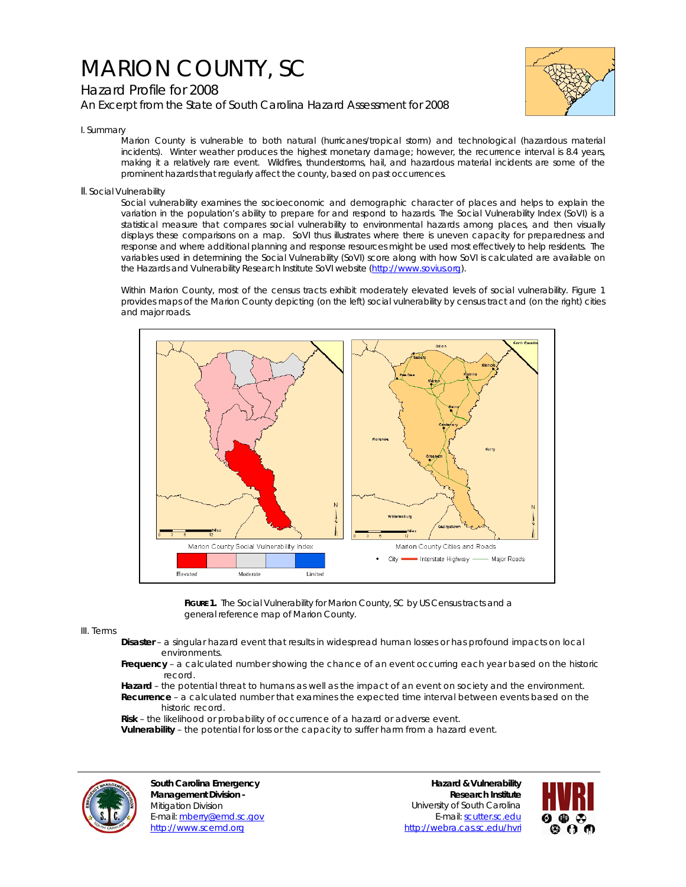## MARION COUNTY, SC

## Hazard Profile for 2008 *An Excerpt from the State of South Carolina Hazard Assessment for 2008*



I. Summary

Marion County is vulnerable to both natural (hurricanes/tropical storm) and technological (hazardous material incidents). Winter weather produces the highest monetary damage; however, the recurrence interval is 8.4 years, making it a relatively rare event. Wildfires, thunderstorms, hail, and hazardous material incidents are some of the prominent hazards that regularly affect the county, based on past occurrences.

II. Social Vulnerability

Social vulnerability examines the socioeconomic and demographic character of places and helps to explain the variation in the population's ability to prepare for and respond to hazards. The Social Vulnerability Index (SoVI) is a statistical measure that compares social vulnerability to environmental hazards among places, and then visually displays these comparisons on a map. SoVI thus illustrates where there is uneven capacity for preparedness and response and where additional planning and response resources might be used most effectively to help residents. The variables used in determining the Social Vulnerability (SoVI) score along with how SoVI is calculated are available on the Hazards and Vulnerability Research Institute SoVI website (http://www.sovius.org).

Within Marion County, most of the census tracts exhibit moderately elevated levels of social vulnerability. Figure 1 provides maps of the Marion County depicting (on the left) social vulnerability by census tract and (on the right) cities and major roads.



**FIGURE 1.** The Social Vulnerability for Marion County, SC by US Census tracts and a general reference map of Marion County.

## III. Terms

- **Disaster** a singular hazard event that results in widespread human losses or has profound impacts on local environments.
- **Frequency** a calculated number showing the chance of an event occurring each year based on the historic record.
- **Hazard** the potential threat to humans as well as the impact of an event on society and the environment.  **Recurrence** – a calculated number that examines the expected time interval between events based on the historic record.
- **Risk** the likelihood or probability of occurrence of a hazard or adverse event.
- **Vulnerability** the potential for loss or the capacity to suffer harm from a hazard event.



**South Carolina Emergency Management Division -**  Mitigation Division E-mail: mberry@emd.sc.gov http://www.scemd.org

**Hazard & Vulnerability Research Institute**  University of South Carolina E-mail: scutter.sc.edu http://webra.cas.sc.edu/hvri

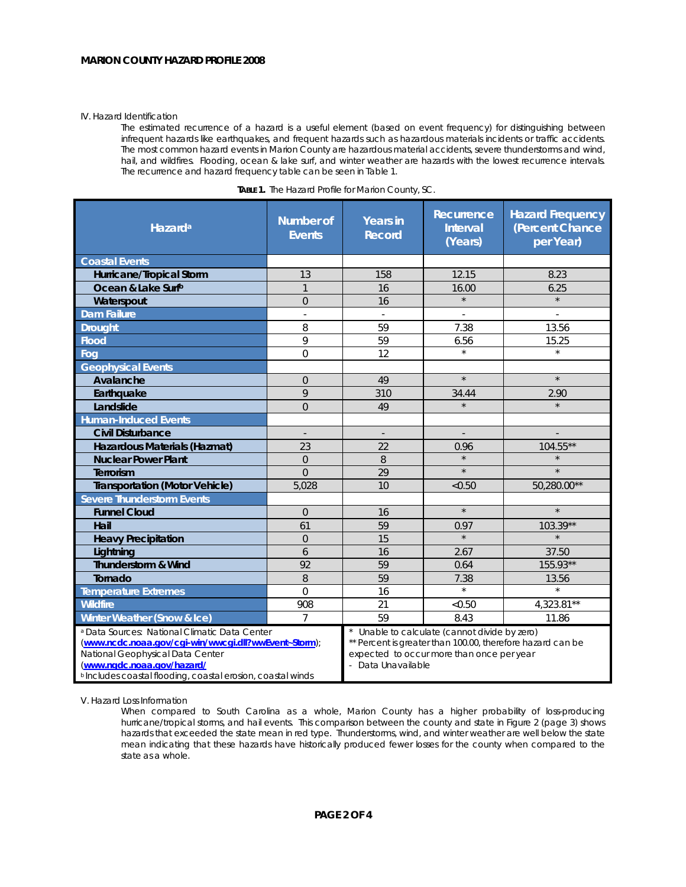## IV. Hazard Identification

The estimated recurrence of a hazard is a useful element (based on event frequency) for distinguishing between infrequent hazards like earthquakes, and frequent hazards such as hazardous materials incidents or traffic accidents. The most common hazard events in Marion County are hazardous material accidents, severe thunderstorms and wind, hail, and wildfires. Flooding, ocean & lake surf, and winter weather are hazards with the lowest recurrence intervals. The recurrence and hazard frequency table can be seen in Table 1.

| Hazard <sup>a</sup>                                                                                                                                                                                                                                          | <b>Number of</b><br><b>Events</b> | <b>Years in</b><br><b>Record</b>                                                                                                                                             | Recurrence<br><b>Interval</b><br>(Years) | <b>Hazard Frequency</b><br>(Percent Chance<br>per Year) |
|--------------------------------------------------------------------------------------------------------------------------------------------------------------------------------------------------------------------------------------------------------------|-----------------------------------|------------------------------------------------------------------------------------------------------------------------------------------------------------------------------|------------------------------------------|---------------------------------------------------------|
| <b>Coastal Events</b>                                                                                                                                                                                                                                        |                                   |                                                                                                                                                                              |                                          |                                                         |
| Hurricane/Tropical Storm                                                                                                                                                                                                                                     | 13                                | 158                                                                                                                                                                          | 12.15                                    | 8.23                                                    |
| Ocean & Lake Surfb                                                                                                                                                                                                                                           | $\mathbf{1}$                      | 16                                                                                                                                                                           | 16.00                                    | 6.25                                                    |
| Waterspout                                                                                                                                                                                                                                                   | $\Omega$                          | 16                                                                                                                                                                           | $\star$                                  | $\star$                                                 |
| <b>Dam Failure</b>                                                                                                                                                                                                                                           | $\overline{\phantom{a}}$          | $\sim$                                                                                                                                                                       |                                          |                                                         |
| <b>Drought</b>                                                                                                                                                                                                                                               | 8                                 | 59                                                                                                                                                                           | 7.38                                     | 13.56                                                   |
| <b>Flood</b>                                                                                                                                                                                                                                                 | 9                                 | 59                                                                                                                                                                           | 6.56                                     | 15.25                                                   |
| Foa                                                                                                                                                                                                                                                          | $\mathbf 0$                       | 12                                                                                                                                                                           | $\star$                                  | $\star$                                                 |
| <b>Geophysical Events</b>                                                                                                                                                                                                                                    |                                   |                                                                                                                                                                              |                                          |                                                         |
| Avalanche                                                                                                                                                                                                                                                    | $\overline{0}$                    | 49                                                                                                                                                                           | $\star$                                  | $\star$                                                 |
| Earthquake                                                                                                                                                                                                                                                   | 9                                 | 310                                                                                                                                                                          | 34.44                                    | 2.90                                                    |
| Landslide                                                                                                                                                                                                                                                    | $\overline{0}$                    | 49                                                                                                                                                                           | $\star$                                  |                                                         |
| <b>Human-Induced Events</b>                                                                                                                                                                                                                                  |                                   |                                                                                                                                                                              |                                          |                                                         |
| <b>Civil Disturbance</b>                                                                                                                                                                                                                                     | $\overline{\phantom{a}}$          | $\overline{\phantom{a}}$                                                                                                                                                     | $\overline{\phantom{a}}$                 |                                                         |
| Hazardous Materials (Hazmat)                                                                                                                                                                                                                                 | 23                                | 22                                                                                                                                                                           | 0.96                                     | 104.55**                                                |
| <b>Nuclear Power Plant</b>                                                                                                                                                                                                                                   | $\overline{0}$                    | 8                                                                                                                                                                            |                                          |                                                         |
| Terrorism                                                                                                                                                                                                                                                    | $\Omega$                          | 29                                                                                                                                                                           | $\star$                                  | $\star$                                                 |
| <b>Transportation (Motor Vehicle)</b>                                                                                                                                                                                                                        | 5,028                             | 10                                                                                                                                                                           | < 0.50                                   | 50,280.00**                                             |
| <b>Severe Thunderstorm Events</b>                                                                                                                                                                                                                            |                                   |                                                                                                                                                                              |                                          |                                                         |
| <b>Funnel Cloud</b>                                                                                                                                                                                                                                          | $\Omega$                          | 16                                                                                                                                                                           | $\star$                                  | $\star$                                                 |
| Hail                                                                                                                                                                                                                                                         | 61                                | 59                                                                                                                                                                           | 0.97                                     | 103.39**                                                |
| <b>Heavy Precipitation</b>                                                                                                                                                                                                                                   | $\overline{0}$                    | 15                                                                                                                                                                           | $\star$                                  |                                                         |
| Lightning                                                                                                                                                                                                                                                    | 6                                 | 16                                                                                                                                                                           | 2.67                                     | 37.50                                                   |
| <b>Thunderstorm &amp; Wind</b>                                                                                                                                                                                                                               | 92                                | 59                                                                                                                                                                           | 0.64                                     | 155.93**                                                |
| Tornado                                                                                                                                                                                                                                                      | 8                                 | 59                                                                                                                                                                           | 7.38                                     | 13.56                                                   |
| <b>Temperature Extremes</b>                                                                                                                                                                                                                                  | $\mathbf 0$                       | 16                                                                                                                                                                           | $\star$                                  | $\star$                                                 |
| <b>Wildfire</b>                                                                                                                                                                                                                                              | 908                               | 21                                                                                                                                                                           | < 0.50                                   | $4,323.81**$                                            |
| Winter Weather (Snow & Ice)                                                                                                                                                                                                                                  | $\overline{7}$                    | 59                                                                                                                                                                           | 8.43                                     | 11.86                                                   |
| <sup>a</sup> Data Sources: National Climatic Data Center<br>(www.ncdc.noaa.gov/cgi-win/wwcgi.dll?wwEvent~Storm);<br>National Geophysical Data Center<br>(www.ngdc.noaa.gov/hazard/<br><sup>b</sup> Includes coastal flooding, coastal erosion, coastal winds |                                   | Unable to calculate (cannot divide by zero)<br>** Percent is greater than 100.00, therefore hazard can be<br>expected to occur more than once per year<br>- Data Unavailable |                                          |                                                         |

| TABLE 1. The Hazard Profile for Marion County, SC. |  |  |
|----------------------------------------------------|--|--|
|                                                    |  |  |

V. Hazard Loss Information

When compared to South Carolina as a whole, Marion County has a higher probability of loss-producing hurricane/tropical storms, and hail events. This comparison between the county and state in Figure 2 (page 3) shows hazards that exceeded the state mean in red type. Thunderstorms, wind, and winter weather are well below the state mean indicating that these hazards have historically produced fewer losses for the county when compared to the state as a whole.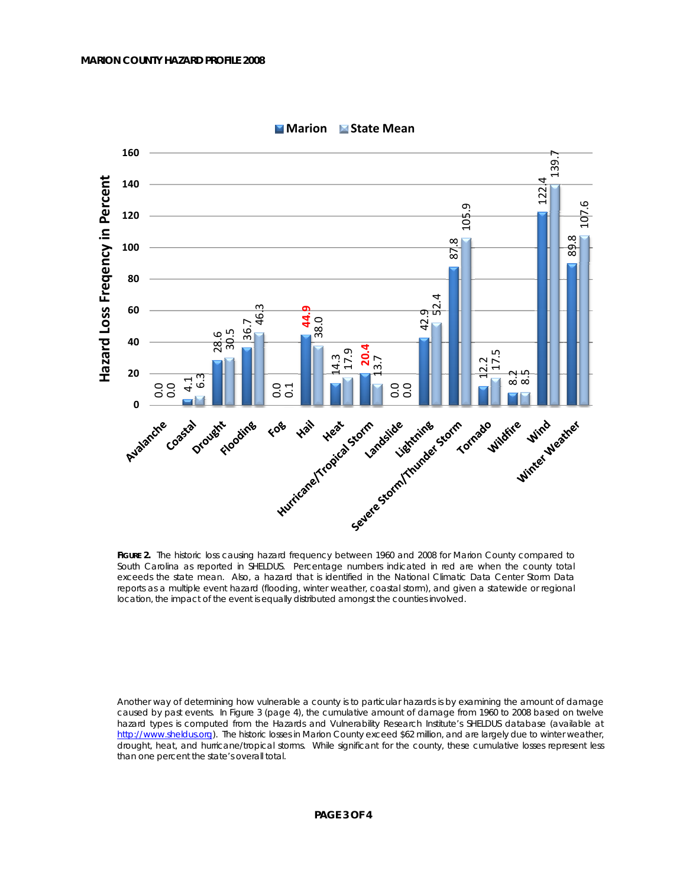

**Marion State Mean**

FIGURE 2. The historic loss causing hazard frequency between 1960 and 2008 for Marion County compared to South Carolina as reported in SHELDUS. Percentage numbers indicated in red are when the county total exceeds the state mean. Also, a hazard that is identified in the National Climatic Data Center Storm Data reports as a multiple event hazard (flooding, winter weather, coastal storm), and given a statewide or regional location, the impact of the event is equally distributed amongst the counties involved.

Another way of determining how vulnerable a county is to particular hazards is by examining the amount of damage caused by past events. In Figure 3 (page 4), the cumulative amount of damage from 1960 to 2008 based on twelve hazard types is computed from the Hazards and Vulnerability Research Institute's SHELDUS database (available at http://www.sheldus.org). The historic losses in Marion County exceed \$62 million, and are largely due to winter weather, drought, heat, and hurricane/tropical storms. While significant for the county, these cumulative losses represent less than one percent the state's overall total.